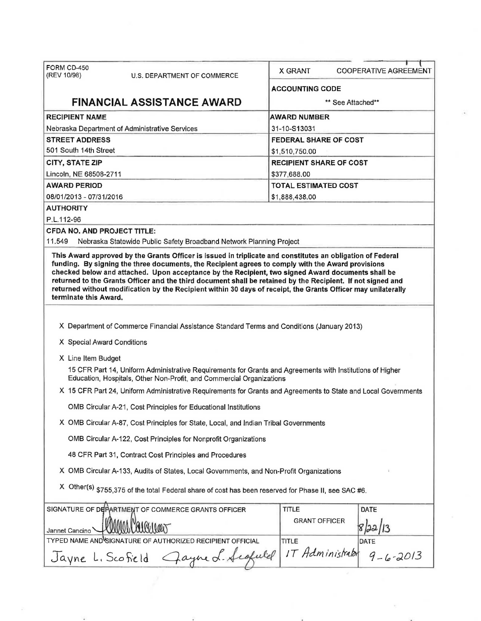| FORM CD-450<br>(REV 10/98)<br>U.S. DEPARTMENT OF COMMERCE                                                                                                                                                                                                                                                                                                                                                                                                       | X GRANT                              | <b>COOPERATIVE AGREEMENT</b>   |  |  |  |
|-----------------------------------------------------------------------------------------------------------------------------------------------------------------------------------------------------------------------------------------------------------------------------------------------------------------------------------------------------------------------------------------------------------------------------------------------------------------|--------------------------------------|--------------------------------|--|--|--|
|                                                                                                                                                                                                                                                                                                                                                                                                                                                                 | <b>ACCOUNTING CODE</b>               |                                |  |  |  |
| <b>FINANCIAL ASSISTANCE AWARD</b>                                                                                                                                                                                                                                                                                                                                                                                                                               |                                      | ** See Attached**              |  |  |  |
| <b>RECIPIENT NAME</b>                                                                                                                                                                                                                                                                                                                                                                                                                                           | <b>AWARD NUMBER</b>                  |                                |  |  |  |
| Nebraska Department of Administrative Services                                                                                                                                                                                                                                                                                                                                                                                                                  | 31-10-S13031                         |                                |  |  |  |
| <b>STREET ADDRESS</b>                                                                                                                                                                                                                                                                                                                                                                                                                                           |                                      | <b>FEDERAL SHARE OF COST</b>   |  |  |  |
| 501 South 14th Street                                                                                                                                                                                                                                                                                                                                                                                                                                           | \$1,510,750.00                       |                                |  |  |  |
| <b>CITY, STATE ZIP</b>                                                                                                                                                                                                                                                                                                                                                                                                                                          |                                      | <b>RECIPIENT SHARE OF COST</b> |  |  |  |
| Lincoln, NE 68508-2711                                                                                                                                                                                                                                                                                                                                                                                                                                          | \$377,688.00                         |                                |  |  |  |
| <b>AWARD PERIOD</b>                                                                                                                                                                                                                                                                                                                                                                                                                                             |                                      | <b>TOTAL ESTIMATED COST</b>    |  |  |  |
| 08/01/2013 - 07/31/2016                                                                                                                                                                                                                                                                                                                                                                                                                                         | \$1,888,438.00                       |                                |  |  |  |
| <b>AUTHORITY</b>                                                                                                                                                                                                                                                                                                                                                                                                                                                |                                      |                                |  |  |  |
| P.L.112-96                                                                                                                                                                                                                                                                                                                                                                                                                                                      |                                      |                                |  |  |  |
| <b>CFDA NO. AND PROJECT TITLE:</b>                                                                                                                                                                                                                                                                                                                                                                                                                              |                                      |                                |  |  |  |
| 11.549<br>Nebraska Statewide Public Safety Broadband Network Planning Project<br>This Award approved by the Grants Officer is issued in triplicate and constitutes an obligation of Federal                                                                                                                                                                                                                                                                     |                                      |                                |  |  |  |
| funding. By signing the three documents, the Recipient agrees to comply with the Award provisions<br>checked below and attached. Upon acceptance by the Recipient, two signed Award documents shall be<br>returned to the Grants Officer and the third document shall be retained by the Recipient. If not signed and<br>returned without modification by the Recipient within 30 days of receipt, the Grants Officer may unilaterally<br>terminate this Award. |                                      |                                |  |  |  |
|                                                                                                                                                                                                                                                                                                                                                                                                                                                                 |                                      |                                |  |  |  |
| X Department of Commerce Financial Assistance Standard Terms and Conditions (January 2013)                                                                                                                                                                                                                                                                                                                                                                      |                                      |                                |  |  |  |
| X Special Award Conditions                                                                                                                                                                                                                                                                                                                                                                                                                                      |                                      |                                |  |  |  |
| X Line Item Budget                                                                                                                                                                                                                                                                                                                                                                                                                                              |                                      |                                |  |  |  |
| 15 CFR Part 14, Uniform Administrative Requirements for Grants and Agreements with Institutions of Higher<br>Education, Hospitals, Other Non-Profit, and Commercial Organizations                                                                                                                                                                                                                                                                               |                                      |                                |  |  |  |
| X 15 CFR Part 24, Uniform Administrative Requirements for Grants and Agreements to State and Local Governments                                                                                                                                                                                                                                                                                                                                                  |                                      |                                |  |  |  |
| OMB Circular A-21, Cost Principles for Educational Institutions                                                                                                                                                                                                                                                                                                                                                                                                 |                                      |                                |  |  |  |
| X OMB Circular A-87, Cost Principles for State, Local, and Indian Tribal Governments                                                                                                                                                                                                                                                                                                                                                                            |                                      |                                |  |  |  |
| OMB Circular A-122, Cost Principles for Nonprofit Organizations                                                                                                                                                                                                                                                                                                                                                                                                 |                                      |                                |  |  |  |
| 48 CFR Part 31, Contract Cost Principles and Procedures                                                                                                                                                                                                                                                                                                                                                                                                         |                                      |                                |  |  |  |
| X OMB Circular A-133, Audits of States, Local Governments, and Non-Profit Organizations                                                                                                                                                                                                                                                                                                                                                                         |                                      |                                |  |  |  |
| X Other(s) \$755,375 of the total Federal share of cost has been reserved for Phase II, see SAC #6.                                                                                                                                                                                                                                                                                                                                                             |                                      |                                |  |  |  |
| SIGNATURE OF DEPARTMENT OF COMMERCE GRANTS OFFICER                                                                                                                                                                                                                                                                                                                                                                                                              | <b>TITLE</b>                         | DATE                           |  |  |  |
| Jannet Cancino                                                                                                                                                                                                                                                                                                                                                                                                                                                  | <b>GRANT OFFICER</b>                 |                                |  |  |  |
| TYPED NAME AND SIGNATURE OF AUTHORIZED RECIPIENT OFFICIAL                                                                                                                                                                                                                                                                                                                                                                                                       | TITLE                                | DATE                           |  |  |  |
| Jayne L. Scofield                                                                                                                                                                                                                                                                                                                                                                                                                                               | IT Administrator<br>Jayne L. Scofuld | $9 - 6 - 2013$                 |  |  |  |
|                                                                                                                                                                                                                                                                                                                                                                                                                                                                 |                                      |                                |  |  |  |

 $\mathbf{v}_\perp$